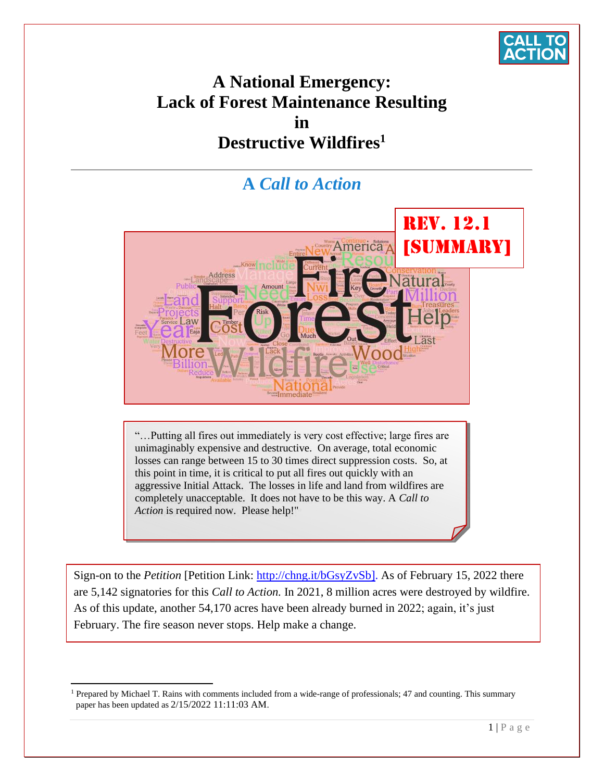

# **A National Emergency: Lack of Forest Maintenance Resulting in Destructive Wildfires<sup>1</sup>**

# **A** *Call to Action*



<span id="page-0-0"></span>"…Putting all fires out immediately is very cost effective; large fires are unimaginably expensive and destructive. On average, total economic losses can range between 15 to 30 times direct suppression costs. So, at this point in time, it is critical to put all fires out quickly with an aggressive Initial Attack. The losses in life and land from wildfires are completely unacceptable. It does not have to be this way. A *Call to Action* is required now. Please help!"

Sign-on to the *Petition* [Petition Link: [http://chng.it/bGsyZvSb\]](http://chng.it/bGsyZvSb). As of February 15, 2022 there are 5,142 [signatories for this](#page-0-0) *Call to Action.* In 2021, 8 million acres were destroyed by wildfire. As of this update, another 54,170 acres have been already burned in 2022; again, it's just February. The fire season never stops. Help make a change.

<sup>&</sup>lt;sup>1</sup> Prepared by Michael T. Rains with comments included from a wide-range of professionals; 47 and counting. This summary paper has been updated as 2/15/2022 11:11:03 AM.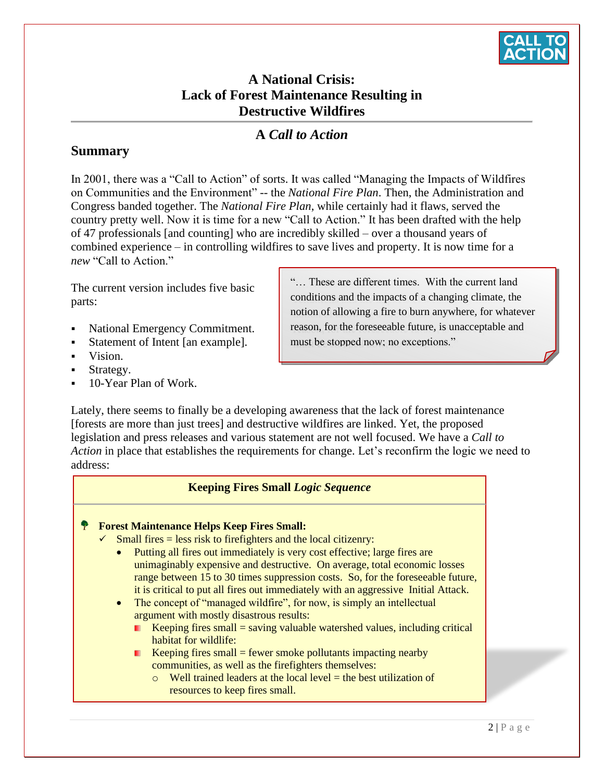

# **A National Crisis: Lack of Forest Maintenance Resulting in Destructive Wildfires**

# **A** *Call to Action*

### **Summary**

In 2001, there was a "Call to Action" of sorts. It was called "Managing the Impacts of Wildfires on Communities and the Environment" -- the *National Fire Plan*. Then, the Administration and Congress banded together. The *National Fire Plan*, while certainly had it flaws, served the country pretty well. Now it is time for a new "Call to Action." It has been drafted with the help of 47 professionals [and counting] who are incredibly skilled – over a thousand years of combined experience – in controlling wildfires to save lives and property. It is now time for a *new* "Call to Action."

The current version includes five basic parts:

- National Emergency Commitment.
- Statement of Intent [an example].
- Vision.
- Strategy.
- 10-Year Plan of Work.

"… These are different times. With the current land conditions and the impacts of a changing climate, the notion of allowing a fire to burn anywhere, for whatever reason, for the foreseeable future, is unacceptable and must be stopped now; no exceptions."

Lately, there seems to finally be a developing awareness that the lack of forest maintenance [forests are more than just trees] and destructive wildfires are linked. Yet, the proposed legislation and press releases and various statement are not well focused. We have a *Call to Action* in place that establishes the requirements for change. Let's reconfirm the logic we need to address:

#### **Keeping Fires Small** *Logic Sequence*

#### **Forest Maintenance Helps Keep Fires Small:**

- Small fires = less risk to firefighters and the local citizenry:
	- Putting all fires out immediately is very cost effective; large fires are unimaginably expensive and destructive. On average, total economic losses range between 15 to 30 times suppression costs. So, for the foreseeable future, it is critical to put all fires out immediately with an aggressive Initial Attack.
	- The concept of "managed wildfire", for now, is simply an intellectual argument with mostly disastrous results:
		- Keeping fires small  $=$  saving valuable watershed values, including critical habitat for wildlife:
		- Keeping fires small  $=$  fewer smoke pollutants impacting nearby communities, as well as the firefighters themselves:
			- $\circ$  Well trained leaders at the local level = the best utilization of resources to keep fires small.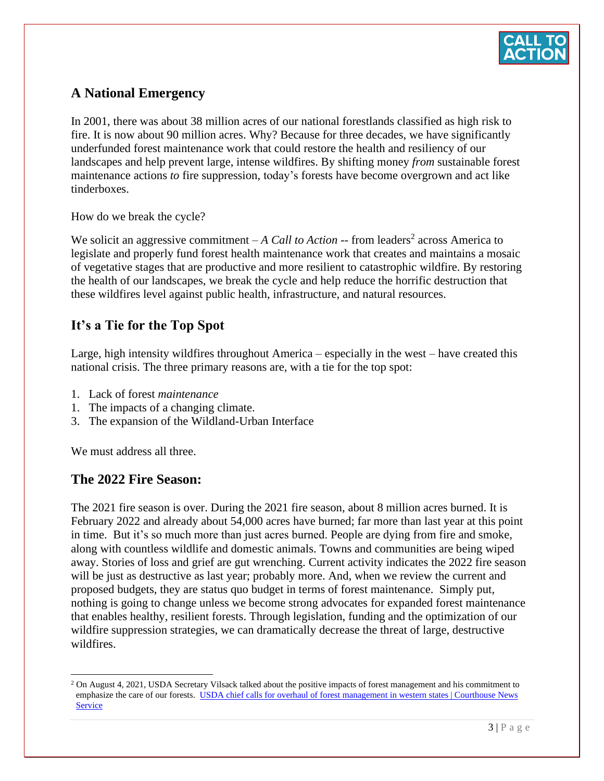

# **A National Emergency**

In 2001, there was about 38 million acres of our national forestlands classified as high risk to fire. It is now about 90 million acres. Why? Because for three decades, we have significantly underfunded forest maintenance work that could restore the health and resiliency of our landscapes and help prevent large, intense wildfires. By shifting money *from* sustainable forest maintenance actions *to* fire suppression, today's forests have become overgrown and act like tinderboxes.

How do we break the cycle?

We solicit an aggressive commitment  $-A$  *Call to Action*  $-$  from leaders<sup>2</sup> across America to legislate and properly fund forest health maintenance work that creates and maintains a mosaic of vegetative stages that are productive and more resilient to catastrophic wildfire. By restoring the health of our landscapes, we break the cycle and help reduce the horrific destruction that these wildfires level against public health, infrastructure, and natural resources.

## **It's a Tie for the Top Spot**

Large, high intensity wildfires throughout America – especially in the west – have created this national crisis. The three primary reasons are, with a tie for the top spot:

- 1. Lack of forest *maintenance*
- 1. The impacts of a changing climate.
- 3. The expansion of the Wildland-Urban Interface

We must address all three.

#### **The 2022 Fire Season:**

The 2021 fire season is over. During the 2021 fire season, about 8 million acres burned. It is February 2022 and already about 54,000 acres have burned; far more than last year at this point in time. But it's so much more than just acres burned. People are dying from fire and smoke, along with countless wildlife and domestic animals. Towns and communities are being wiped away. Stories of loss and grief are gut wrenching. Current activity indicates the 2022 fire season will be just as destructive as last year; probably more. And, when we review the current and proposed budgets, they are status quo budget in terms of forest maintenance. Simply put, nothing is going to change unless we become strong advocates for expanded forest maintenance that enables healthy, resilient forests. Through legislation, funding and the optimization of our wildfire suppression strategies, we can dramatically decrease the threat of large, destructive wildfires.

<sup>&</sup>lt;sup>2</sup> On August 4, 2021, USDA Secretary Vilsack talked about the positive impacts of forest management and his commitment to emphasize the care of our forests. USDA chief calls for overhaul of forest management in western states | Courthouse News **[Service](https://www.courthousenews.com/usda-chief-calls-for-overhaul-of-forest-management-in-western-states/)**